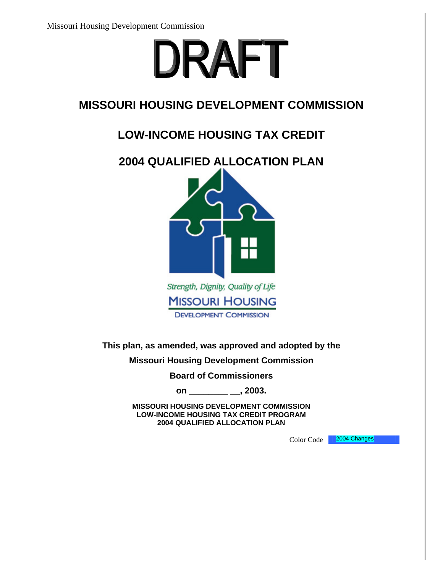

# **MISSOURI HOUSING DEVELOPMENT COMMISSION**

# **LOW-INCOME HOUSING TAX CREDIT**



**This plan, as amended, was approved and adopted by the** 

**Missouri Housing Development Commission** 

**Board of Commissioners** 

**on \_\_\_\_\_\_\_\_ \_\_, 2003.**

**MISSOURI HOUSING DEVELOPMENT COMMISSION LOW-INCOME HOUSING TAX CREDIT PROGRAM 2004 QUALIFIED ALLOCATION PLAN**

Color Code 2004 Changes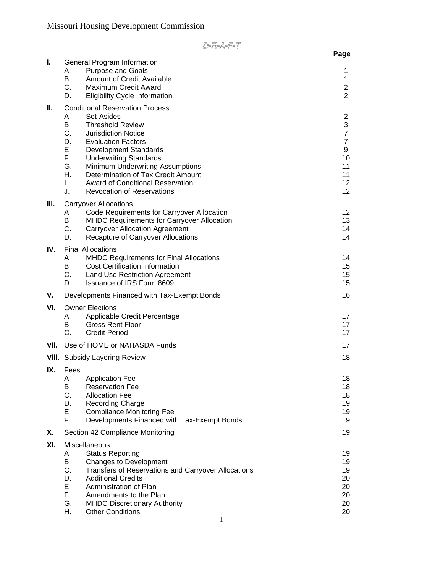|      |                                                                                                                                                                                                                                                                                                                                                                                                                                               | Page                                                                                       |
|------|-----------------------------------------------------------------------------------------------------------------------------------------------------------------------------------------------------------------------------------------------------------------------------------------------------------------------------------------------------------------------------------------------------------------------------------------------|--------------------------------------------------------------------------------------------|
| Ъ.   | <b>General Program Information</b><br>Purpose and Goals<br>А.<br>В.<br><b>Amount of Credit Available</b><br>C.<br><b>Maximum Credit Award</b><br>D.<br><b>Eligibility Cycle Information</b>                                                                                                                                                                                                                                                   | 1<br>1<br>$\overline{2}$<br>2                                                              |
| Ш.   | <b>Conditional Reservation Process</b><br>А.<br>Set-Asides<br>В.<br><b>Threshold Review</b><br>$C_{-}$<br><b>Jurisdiction Notice</b><br>D.<br><b>Evaluation Factors</b><br>Е.<br><b>Development Standards</b><br>F.<br><b>Underwriting Standards</b><br>G.<br><b>Minimum Underwriting Assumptions</b><br>Η.<br>Determination of Tax Credit Amount<br><b>Award of Conditional Reservation</b><br>L.<br>J.<br><b>Revocation of Reservations</b> | 2<br>3<br>$\overline{7}$<br>$\overline{7}$<br>9<br>10<br>11<br>11<br>12 <sub>2</sub><br>12 |
| III. | <b>Carryover Allocations</b><br>Code Requirements for Carryover Allocation<br>А.<br>В.<br><b>MHDC Requirements for Carryover Allocation</b><br>C.<br><b>Carryover Allocation Agreement</b><br>D.<br>Recapture of Carryover Allocations                                                                                                                                                                                                        | 12<br>13<br>14<br>14                                                                       |
| IV.  | <b>Final Allocations</b><br><b>MHDC Requirements for Final Allocations</b><br>А.<br>В.<br><b>Cost Certification Information</b><br>C.<br><b>Land Use Restriction Agreement</b><br>D.<br><b>Issuance of IRS Form 8609</b>                                                                                                                                                                                                                      | 14<br>15<br>15<br>15                                                                       |
| ۷.   | Developments Financed with Tax-Exempt Bonds                                                                                                                                                                                                                                                                                                                                                                                                   | 16                                                                                         |
| VI.  | <b>Owner Elections</b><br>Applicable Credit Percentage<br>А.<br><b>Gross Rent Floor</b><br>В.<br>C.<br><b>Credit Period</b>                                                                                                                                                                                                                                                                                                                   | 17<br>17<br>17<br>17                                                                       |
| VII. | Use of HOME or NAHASDA Funds                                                                                                                                                                                                                                                                                                                                                                                                                  |                                                                                            |
|      | <b>VIII.</b> Subsidy Layering Review                                                                                                                                                                                                                                                                                                                                                                                                          | 18                                                                                         |
| IX.  | Fees<br>А.<br><b>Application Fee</b><br>В.<br><b>Reservation Fee</b><br>C.<br><b>Allocation Fee</b><br>Recording Charge<br>D.<br>Е.<br><b>Compliance Monitoring Fee</b><br>F.<br>Developments Financed with Tax-Exempt Bonds                                                                                                                                                                                                                  | 18<br>18<br>18<br>19<br>19<br>19                                                           |
| Х.   | Section 42 Compliance Monitoring                                                                                                                                                                                                                                                                                                                                                                                                              | 19                                                                                         |
| XI.  | Miscellaneous<br><b>Status Reporting</b><br>А.<br>В.<br>Changes to Development<br>C.<br>Transfers of Reservations and Carryover Allocations<br>D.<br><b>Additional Credits</b><br>Е.<br>Administration of Plan<br>F.<br>Amendments to the Plan<br>G.<br><b>MHDC Discretionary Authority</b><br>Η.<br><b>Other Conditions</b>                                                                                                                  | 19<br>19<br>19<br>20<br>20<br>20<br>20<br>20                                               |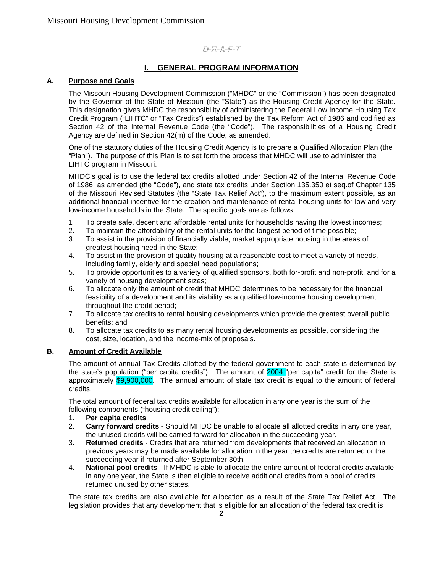### **I. GENERAL PROGRAM INFORMATION**

#### **A. Purpose and Goals**

The Missouri Housing Development Commission ("MHDC" or the "Commission") has been designated by the Governor of the State of Missouri (the "State") as the Housing Credit Agency for the State. This designation gives MHDC the responsibility of administering the Federal Low Income Housing Tax Credit Program ("LIHTC" or "Tax Credits") established by the Tax Reform Act of 1986 and codified as Section 42 of the Internal Revenue Code (the "Code"). The responsibilities of a Housing Credit Agency are defined in Section 42(m) of the Code, as amended.

One of the statutory duties of the Housing Credit Agency is to prepare a Qualified Allocation Plan (the "Plan"). The purpose of this Plan is to set forth the process that MHDC will use to administer the LIHTC program in Missouri.

MHDC's goal is to use the federal tax credits allotted under Section 42 of the Internal Revenue Code of 1986, as amended (the "Code"), and state tax credits under Section 135.350 et seq.of Chapter 135 of the Missouri Revised Statutes (the "State Tax Relief Act"), to the maximum extent possible, as an additional financial incentive for the creation and maintenance of rental housing units for low and very low-income households in the State. The specific goals are as follows:

- 1 To create safe, decent and affordable rental units for households having the lowest incomes;
- 2. To maintain the affordability of the rental units for the longest period of time possible;
- 3. To assist in the provision of financially viable, market appropriate housing in the areas of greatest housing need in the State;
- 4. To assist in the provision of quality housing at a reasonable cost to meet a variety of needs, including family, elderly and special need populations;
- 5. To provide opportunities to a variety of qualified sponsors, both for-profit and non-profit, and for a variety of housing development sizes;
- 6. To allocate only the amount of credit that MHDC determines to be necessary for the financial feasibility of a development and its viability as a qualified low-income housing development throughout the credit period;
- 7. To allocate tax credits to rental housing developments which provide the greatest overall public benefits; and
- 8. To allocate tax credits to as many rental housing developments as possible, considering the cost, size, location, and the income-mix of proposals.

#### **B. Amount of Credit Available**

The amount of annual Tax Credits allotted by the federal government to each state is determined by the state's population ("per capita credits"). The amount of 2004 "per capita" credit for the State is approximately \$9,900,000. The annual amount of state tax credit is equal to the amount of federal credits.

The total amount of federal tax credits available for allocation in any one year is the sum of the following components ("housing credit ceiling"):

- 1. **Per capita credits**.
- 2. **Carry forward credits** Should MHDC be unable to allocate all allotted credits in any one year, the unused credits will be carried forward for allocation in the succeeding year.
- 3. **Returned credits** Credits that are returned from developments that received an allocation in previous years may be made available for allocation in the year the credits are returned or the succeeding year if returned after September 30th.
- 4. **National pool credits** If MHDC is able to allocate the entire amount of federal credits available in any one year, the State is then eligible to receive additional credits from a pool of credits returned unused by other states.

The state tax credits are also available for allocation as a result of the State Tax Relief Act. The legislation provides that any development that is eligible for an allocation of the federal tax credit is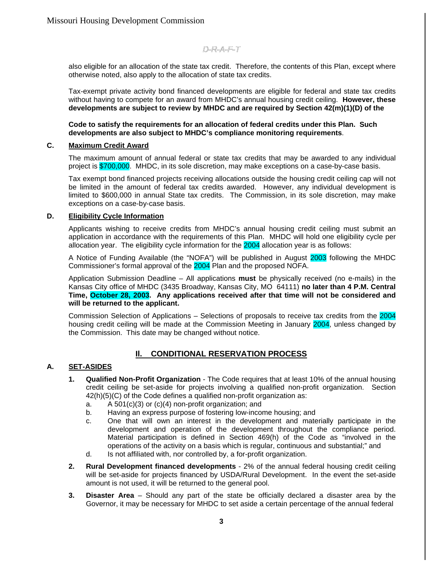also eligible for an allocation of the state tax credit. Therefore, the contents of this Plan, except where otherwise noted, also apply to the allocation of state tax credits.

Tax-exempt private activity bond financed developments are eligible for federal and state tax credits without having to compete for an award from MHDC's annual housing credit ceiling. **However, these developments are subject to review by MHDC and are required by Section 42(m)(1)(D) of the** 

**Code to satisfy the requirements for an allocation of federal credits under this Plan. Such developments are also subject to MHDC's compliance monitoring requirements**.

### **C. Maximum Credit Award**

The maximum amount of annual federal or state tax credits that may be awarded to any individual project is \$700,000. MHDC, in its sole discretion, may make exceptions on a case-by-case basis.

Tax exempt bond financed projects receiving allocations outside the housing credit ceiling cap will not be limited in the amount of federal tax credits awarded. However, any individual development is limited to \$600,000 in annual State tax credits. The Commission, in its sole discretion, may make exceptions on a case-by-case basis.

#### **D. Eligibility Cycle Information**

Applicants wishing to receive credits from MHDC's annual housing credit ceiling must submit an application in accordance with the requirements of this Plan. MHDC will hold one eligibility cycle per allocation year. The eligibility cycle information for the 2004 allocation year is as follows:

A Notice of Funding Available (the "NOFA") will be published in August 2003 following the MHDC Commissioner's formal approval of the 2004 Plan and the proposed NOFA.

Application Submission Deadline – All applications **must** be physically received (no e-mails) in the Kansas City office of MHDC (3435 Broadway, Kansas City, MO 64111) **no later than 4 P.M. Central Time, October 28, 2003. Any applications received after that time will not be considered and will be returned to the applicant.**

Commission Selection of Applications – Selections of proposals to receive tax credits from the 2004 housing credit ceiling will be made at the Commission Meeting in January 2004, unless changed by the Commission. This date may be changed without notice.

### **Il. CONDITIONAL RESERVATION PROCESS**

### **A. SET-ASIDES**

- **1. Qualified Non-Profit Organization** The Code requires that at least 10% of the annual housing credit ceiling be set-aside for projects involving a qualified non-profit organization. Section 42(h)(5)(C) of the Code defines a qualified non-profit organization as:
	- a. A 501(c)(3) or (c)(4) non-profit organization; and
	- b. Having an express purpose of fostering low-income housing; and
	- c. One that will own an interest in the development and materially participate in the development and operation of the development throughout the compliance period. Material participation is defined in Section 469(h) of the Code as "involved in the operations of the activity on a basis which is regular, continuous and substantial;" and
	- d. Is not affiliated with, nor controlled by, a for-profit organization.
- **2. Rural Development financed developments** 2% of the annual federal housing credit ceiling will be set-aside for projects financed by USDA/Rural Development. In the event the set-aside amount is not used, it will be returned to the general pool.
- **3. Disaster Area** Should any part of the state be officially declared a disaster area by the Governor, it may be necessary for MHDC to set aside a certain percentage of the annual federal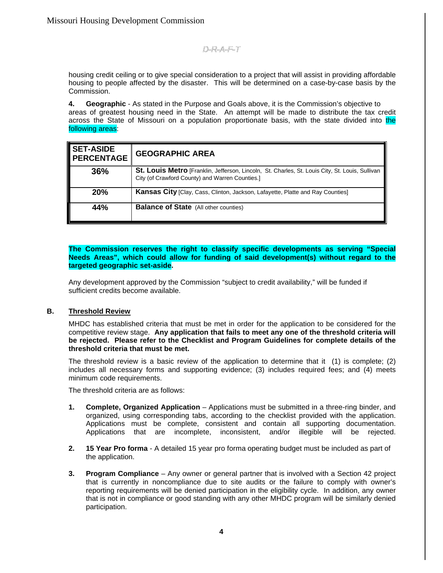housing credit ceiling or to give special consideration to a project that will assist in providing affordable housing to people affected by the disaster. This will be determined on a case-by-case basis by the Commission.

**4. Geographic** - As stated in the Purpose and Goals above, it is the Commission's objective to areas of greatest housing need in the State. An attempt will be made to distribute the tax credit across the State of Missouri on a population proportionate basis, with the state divided into the following areas:

| <b>SET-ASIDE</b><br><b>PERCENTAGE</b> | <b>GEOGRAPHIC AREA</b>                                                                                                                             |
|---------------------------------------|----------------------------------------------------------------------------------------------------------------------------------------------------|
| 36%                                   | St. Louis Metro [Franklin, Jefferson, Lincoln, St. Charles, St. Louis City, St. Louis, Sullivan<br>City (of Crawford County) and Warren Counties.] |
| <b>20%</b>                            | <b>Kansas City</b> [Clay, Cass, Clinton, Jackson, Lafayette, Platte and Ray Counties]                                                              |
| 44%                                   | <b>Balance of State</b> (All other counties)                                                                                                       |

#### **The Commission reserves the right to classify specific developments as serving "Special Needs Areas", which could allow for funding of said development(s) without regard to the targeted geographic set-aside.**

Any development approved by the Commission "subject to credit availability," will be funded if sufficient credits become available.

#### **B. Threshold Review**

MHDC has established criteria that must be met in order for the application to be considered for the competitive review stage. **Any application that fails to meet any one of the threshold criteria will be rejected. Please refer to the Checklist and Program Guidelines for complete details of the threshold criteria that must be met.**

The threshold review is a basic review of the application to determine that it (1) is complete; (2) includes all necessary forms and supporting evidence; (3) includes required fees; and (4) meets minimum code requirements.

The threshold criteria are as follows:

- **1. Complete, Organized Application** Applications must be submitted in a three-ring binder, and organized, using corresponding tabs, according to the checklist provided with the application. Applications must be complete, consistent and contain all supporting documentation. Applications that are incomplete, inconsistent, and/or illegible will be rejected.
- **2. 15 Year Pro forma** A detailed 15 year pro forma operating budget must be included as part of the application.
- **3. Program Compliance** Any owner or general partner that is involved with a Section 42 project that is currently in noncompliance due to site audits or the failure to comply with owner's reporting requirements will be denied participation in the eligibility cycle. In addition, any owner that is not in compliance or good standing with any other MHDC program will be similarly denied participation.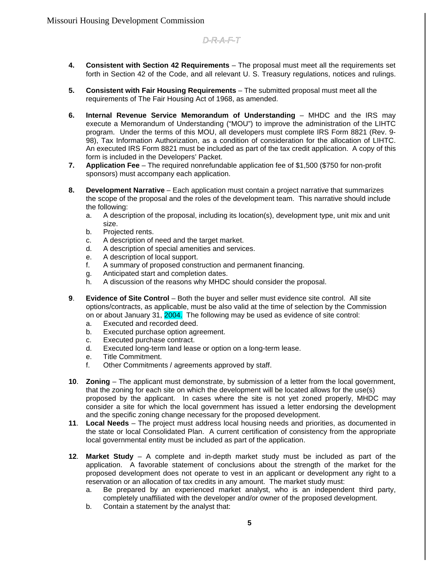- **4. Consistent with Section 42 Requirements** The proposal must meet all the requirements set forth in Section 42 of the Code, and all relevant U. S. Treasury regulations, notices and rulings.
- **5. Consistent with Fair Housing Requirements** The submitted proposal must meet all the requirements of The Fair Housing Act of 1968, as amended.
- **6. Internal Revenue Service Memorandum of Understanding** MHDC and the IRS may execute a Memorandum of Understanding ("MOU") to improve the administration of the LIHTC program. Under the terms of this MOU, all developers must complete IRS Form 8821 (Rev. 9- 98), Tax Information Authorization, as a condition of consideration for the allocation of LIHTC. An executed IRS Form 8821 must be included as part of the tax credit application. A copy of this form is included in the Developers' Packet.
- **7. Application Fee** The required nonrefundable application fee of \$1,500 (\$750 for non-profit sponsors) must accompany each application.
- **8. Development Narrative** Each application must contain a project narrative that summarizes the scope of the proposal and the roles of the development team. This narrative should include the following:
	- a. A description of the proposal, including its location(s), development type, unit mix and unit size.
	- b. Projected rents.
	- c. A description of need and the target market.
	- d. A description of special amenities and services.
	- e. A description of local support.
	- f. A summary of proposed construction and permanent financing.
	- g. Anticipated start and completion dates.
	- h. A discussion of the reasons why MHDC should consider the proposal.
- **9**. **Evidence of Site Control** Both the buyer and seller must evidence site control. All site options/contracts, as applicable, must be also valid at the time of selection by the Commission on or about January 31, 2004. The following may be used as evidence of site control:
	- a. Executed and recorded deed.
	- b. Executed purchase option agreement.
	- c. Executed purchase contract.
	- d. Executed long-term land lease or option on a long-term lease.
	- e. Title Commitment.
	- f. Other Commitments / agreements approved by staff.
- **10**. **Zoning** The applicant must demonstrate, by submission of a letter from the local government, that the zoning for each site on which the development will be located allows for the use(s) proposed by the applicant. In cases where the site is not yet zoned properly, MHDC may consider a site for which the local government has issued a letter endorsing the development and the specific zoning change necessary for the proposed development.
- **11**. **Local Needs** The project must address local housing needs and priorities, as documented in the state or local Consolidated Plan. A current certification of consistency from the appropriate local governmental entity must be included as part of the application.
- **12**. **Market Study** A complete and in-depth market study must be included as part of the application. A favorable statement of conclusions about the strength of the market for the proposed development does not operate to vest in an applicant or development any right to a reservation or an allocation of tax credits in any amount. The market study must:
	- a. Be prepared by an experienced market analyst, who is an independent third party, completely unaffiliated with the developer and/or owner of the proposed development.
	- b. Contain a statement by the analyst that: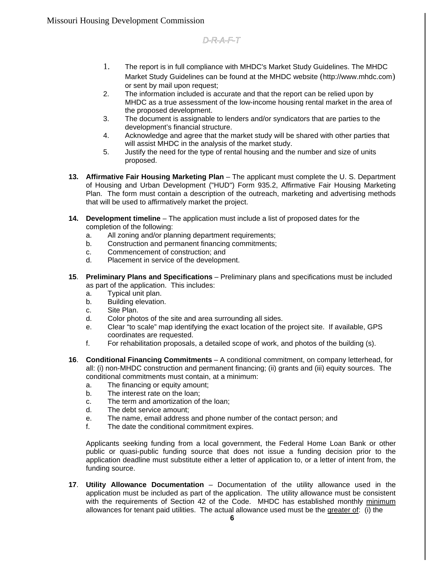- 1. The report is in full compliance with MHDC's Market Study Guidelines. The MHDC Market Study Guidelines can be found at the MHDC website (http://www.mhdc.com) or sent by mail upon request;
- 2. The information included is accurate and that the report can be relied upon by MHDC as a true assessment of the low-income housing rental market in the area of the proposed development.
- 3. The document is assignable to lenders and/or syndicators that are parties to the development's financial structure.
- 4. Acknowledge and agree that the market study will be shared with other parties that will assist MHDC in the analysis of the market study.
- 5. Justify the need for the type of rental housing and the number and size of units proposed.
- **13. Affirmative Fair Housing Marketing Plan** The applicant must complete the U. S. Department of Housing and Urban Development ("HUD") Form 935.2, Affirmative Fair Housing Marketing Plan. The form must contain a description of the outreach, marketing and advertising methods that will be used to affirmatively market the project.
- **14. Development timeline** The application must include a list of proposed dates for the completion of the following:
	- a. All zoning and/or planning department requirements;
	- b. Construction and permanent financing commitments;
	- c. Commencement of construction; and
	- d. Placement in service of the development.
- **15**. **Preliminary Plans and Specifications** Preliminary plans and specifications must be included as part of the application. This includes:
	- a. Typical unit plan.
	- b. Building elevation.
	- c. Site Plan.
	- d. Color photos of the site and area surrounding all sides.
	- e. Clear "to scale" map identifying the exact location of the project site. If available, GPS coordinates are requested.
	- f. For rehabilitation proposals, a detailed scope of work, and photos of the building (s).
- **16**. **Conditional Financing Commitments** A conditional commitment, on company letterhead, for all: (i) non-MHDC construction and permanent financing; (ii) grants and (iii) equity sources. The conditional commitments must contain, at a minimum:
	- a. The financing or equity amount;
	- b. The interest rate on the loan;
	- c. The term and amortization of the loan;
	- d. The debt service amount;
	- e. The name, email address and phone number of the contact person; and
	- f. The date the conditional commitment expires.

Applicants seeking funding from a local government, the Federal Home Loan Bank or other public or quasi-public funding source that does not issue a funding decision prior to the application deadline must substitute either a letter of application to, or a letter of intent from, the funding source.

**17**. **Utility Allowance Documentation** – Documentation of the utility allowance used in the application must be included as part of the application. The utility allowance must be consistent with the requirements of Section 42 of the Code. MHDC has established monthly minimum allowances for tenant paid utilities. The actual allowance used must be the greater of: (i) the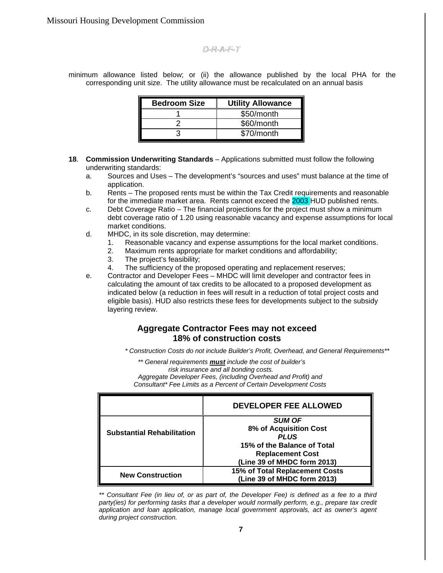minimum allowance listed below; or (ii) the allowance published by the local PHA for the corresponding unit size. The utility allowance must be recalculated on an annual basis

| <b>Bedroom Size</b> | <b>Utility Allowance</b> |
|---------------------|--------------------------|
|                     | \$50/month               |
|                     | \$60/month               |
|                     | \$70/month               |

- **18**. **Commission Underwriting Standards** Applications submitted must follow the following underwriting standards:
	- a. Sources and Uses The development's "sources and uses" must balance at the time of application.
	- b. Rents The proposed rents must be within the Tax Credit requirements and reasonable for the immediate market area. Rents cannot exceed the **2003 HUD** published rents.
	- c. Debt Coverage Ratio The financial projections for the project must show a minimum debt coverage ratio of 1.20 using reasonable vacancy and expense assumptions for local market conditions.
	- d. MHDC, in its sole discretion, may determine:
		- 1. Reasonable vacancy and expense assumptions for the local market conditions.
		- 2. Maximum rents appropriate for market conditions and affordability;
		- 3. The project's feasibility;
		- 4. The sufficiency of the proposed operating and replacement reserves;
	- e. Contractor and Developer Fees MHDC will limit developer and contractor fees in calculating the amount of tax credits to be allocated to a proposed development as indicated below (a reduction in fees will result in a reduction of total project costs and eligible basis). HUD also restricts these fees for developments subject to the subsidy layering review.

### **Aggregate Contractor Fees may not exceed 18% of construction costs**

*\* Construction Costs do not include Builder's Profit, Overhead, and General Requirements\*\**

*\*\* General requirements must include the cost of builder's risk insurance and all bonding costs. Aggregate Developer Fees, (including Overhead and Profit) and Consultant\* Fee Limits as a Percent of Certain Development Costs*

|                                   | <b>DEVELOPER FEE ALLOWED</b>   |
|-----------------------------------|--------------------------------|
|                                   | <b>SUM OF</b>                  |
| <b>Substantial Rehabilitation</b> | 8% of Acquisition Cost         |
|                                   | <b>PLUS</b>                    |
|                                   | 15% of the Balance of Total    |
|                                   | <b>Replacement Cost</b>        |
|                                   | (Line 39 of MHDC form 2013)    |
| <b>New Construction</b>           | 15% of Total Replacement Costs |
|                                   | (Line 39 of MHDC form 2013)    |

*\*\* Consultant Fee (in lieu of, or as part of, the Developer Fee) is defined as a fee to a third party(ies) for performing tasks that a developer would normally perform, e.g., prepare tax credit application and loan application, manage local government approvals, act as owner's agent during project construction.*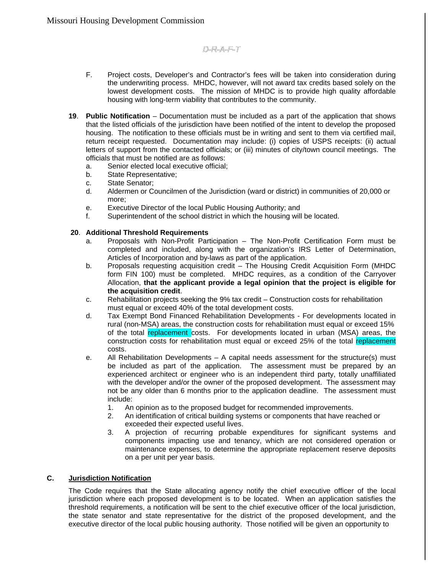- F. Project costs, Developer's and Contractor's fees will be taken into consideration during the underwriting process. MHDC, however, will not award tax credits based solely on the lowest development costs. The mission of MHDC is to provide high quality affordable housing with long-term viability that contributes to the community.
- **19**. **Public Notification** Documentation must be included as a part of the application that shows that the listed officials of the jurisdiction have been notified of the intent to develop the proposed housing. The notification to these officials must be in writing and sent to them via certified mail, return receipt requested. Documentation may include: (i) copies of USPS receipts: (ii) actual letters of support from the contacted officials; or (iii) minutes of city/town council meetings. The officials that must be notified are as follows:
	- a. Senior elected local executive official;
	- b. State Representative;
	- c. State Senator;
	- d. Aldermen or Councilmen of the Jurisdiction (ward or district) in communities of 20,000 or more;
	- e. Executive Director of the local Public Housing Authority; and
	- f. Superintendent of the school district in which the housing will be located.

#### **20**. **Additional Threshold Requirements**

- a. Proposals with Non-Profit Participation The Non-Profit Certification Form must be completed and included, along with the organization's IRS Letter of Determination, Articles of Incorporation and by-laws as part of the application.
- b. Proposals requesting acquisition credit The Housing Credit Acquisition Form (MHDC form FIN 100) must be completed. MHDC requires, as a condition of the Carryover Allocation, **that the applicant provide a legal opinion that the project is eligible for the acquisition credit**.
- c. Rehabilitation projects seeking the 9% tax credit Construction costs for rehabilitation must equal or exceed 40% of the total development costs.
- d. Tax Exempt Bond Financed Rehabilitation Developments For developments located in rural (non-MSA) areas, the construction costs for rehabilitation must equal or exceed 15% of the total replacement costs. For developments located in urban (MSA) areas, the construction costs for rehabilitation must equal or exceed 25% of the total replacement costs.
- e. All Rehabilitation Developments A capital needs assessment for the structure(s) must be included as part of the application. The assessment must be prepared by an experienced architect or engineer who is an independent third party, totally unaffiliated with the developer and/or the owner of the proposed development. The assessment may not be any older than 6 months prior to the application deadline. The assessment must include:
	- 1. An opinion as to the proposed budget for recommended improvements.
	- 2. An identification of critical building systems or components that have reached or exceeded their expected useful lives.
	- 3. A projection of recurring probable expenditures for significant systems and components impacting use and tenancy, which are not considered operation or maintenance expenses, to determine the appropriate replacement reserve deposits on a per unit per year basis.

### **C. Jurisdiction Notification**

The Code requires that the State allocating agency notify the chief executive officer of the local jurisdiction where each proposed development is to be located. When an application satisfies the threshold requirements, a notification will be sent to the chief executive officer of the local jurisdiction, the state senator and state representative for the district of the proposed development, and the executive director of the local public housing authority. Those notified will be given an opportunity to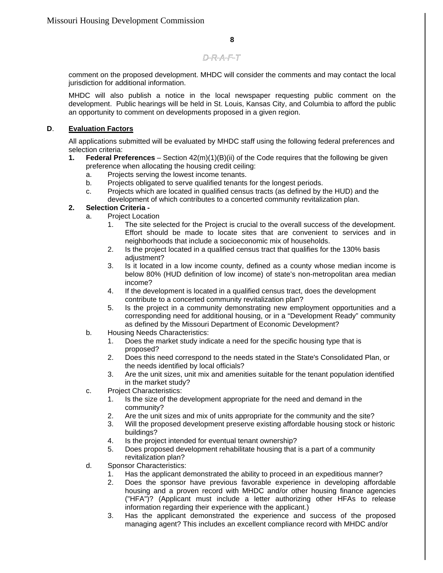comment on the proposed development. MHDC will consider the comments and may contact the local jurisdiction for additional information.

MHDC will also publish a notice in the local newspaper requesting public comment on the development. Public hearings will be held in St. Louis, Kansas City, and Columbia to afford the public an opportunity to comment on developments proposed in a given region.

### **D**. **Evaluation Factors**

All applications submitted will be evaluated by MHDC staff using the following federal preferences and selection criteria:

- **1. Federal Preferences** Section 42(m)(1)(B)(ii) of the Code requires that the following be given preference when allocating the housing credit ceiling:
	- a. Projects serving the lowest income tenants.
	- b. Projects obligated to serve qualified tenants for the longest periods.
	- c. Projects which are located in qualified census tracts (as defined by the HUD) and the development of which contributes to a concerted community revitalization plan.

### **2. Selection Criteria -**

- a. Project Location
	- 1. The site selected for the Project is crucial to the overall success of the development. Effort should be made to locate sites that are convenient to services and in neighborhoods that include a socioeconomic mix of households.
	- 2. Is the project located in a qualified census tract that qualifies for the 130% basis adjustment?
	- 3. Is it located in a low income county, defined as a county whose median income is below 80% (HUD definition of low income) of state's non-metropolitan area median income?
	- 4. If the development is located in a qualified census tract, does the development contribute to a concerted community revitalization plan?
	- 5. Is the project in a community demonstrating new employment opportunities and a corresponding need for additional housing, or in a "Development Ready" community as defined by the Missouri Department of Economic Development?
- b. Housing Needs Characteristics:
	- 1. Does the market study indicate a need for the specific housing type that is proposed?
	- 2. Does this need correspond to the needs stated in the State's Consolidated Plan, or the needs identified by local officials?
	- 3. Are the unit sizes, unit mix and amenities suitable for the tenant population identified in the market study?
- c. Project Characteristics:
	- 1. Is the size of the development appropriate for the need and demand in the community?
	- 2. Are the unit sizes and mix of units appropriate for the community and the site?
	- 3. Will the proposed development preserve existing affordable housing stock or historic buildings?
	- 4. Is the project intended for eventual tenant ownership?
	- 5. Does proposed development rehabilitate housing that is a part of a community revitalization plan?
- d. Sponsor Characteristics:
	- 1. Has the applicant demonstrated the ability to proceed in an expeditious manner?
	- 2. Does the sponsor have previous favorable experience in developing affordable housing and a proven record with MHDC and/or other housing finance agencies ("HFA")? (Applicant must include a letter authorizing other HFAs to release information regarding their experience with the applicant.)
	- 3. Has the applicant demonstrated the experience and success of the proposed managing agent? This includes an excellent compliance record with MHDC and/or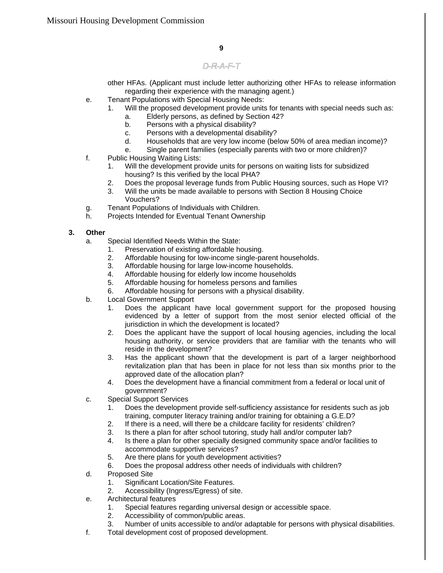other HFAs. (Applicant must include letter authorizing other HFAs to release information regarding their experience with the managing agent.)

- e. Tenant Populations with Special Housing Needs:
	- 1. Will the proposed development provide units for tenants with special needs such as:
		- a. Elderly persons, as defined by Section 42?
		- b. Persons with a physical disability?
		- c. Persons with a developmental disability?
		- d. Households that are very low income (below 50% of area median income)?
		- e. Single parent families (especially parents with two or more children)?
- f. Public Housing Waiting Lists:
	- 1. Will the development provide units for persons on waiting lists for subsidized housing? Is this verified by the local PHA?
	- 2. Does the proposal leverage funds from Public Housing sources, such as Hope VI?
	- 3. Will the units be made available to persons with Section 8 Housing Choice Vouchers?
- g. Tenant Populations of Individuals with Children.
- h. Projects Intended for Eventual Tenant Ownership

### **3. Other**

- a. Special Identified Needs Within the State:
	- 1. Preservation of existing affordable housing.
	- 2. Affordable housing for low-income single-parent households.
	- 3. Affordable housing for large low-income households.
	- 4. Affordable housing for elderly low income households
	- 5. Affordable housing for homeless persons and families
	- 6. Affordable housing for persons with a physical disability.
- b. Local Government Support
	- 1. Does the applicant have local government support for the proposed housing evidenced by a letter of support from the most senior elected official of the jurisdiction in which the development is located?
	- 2. Does the applicant have the support of local housing agencies, including the local housing authority, or service providers that are familiar with the tenants who will reside in the development?
	- 3. Has the applicant shown that the development is part of a larger neighborhood revitalization plan that has been in place for not less than six months prior to the approved date of the allocation plan?
	- 4. Does the development have a financial commitment from a federal or local unit of government?
- c. Special Support Services
	- 1. Does the development provide self-sufficiency assistance for residents such as job training, computer literacy training and/or training for obtaining a G.E.D?
	- 2. If there is a need, will there be a childcare facility for residents' children?
	- 3. Is there a plan for after school tutoring, study hall and/or computer lab?
	- 4. Is there a plan for other specially designed community space and/or facilities to accommodate supportive services?
	- 5. Are there plans for youth development activities?
	- 6. Does the proposal address other needs of individuals with children?
- d. Proposed Site
	- 1. Significant Location/Site Features.
	- 2. Accessibility (Ingress/Egress) of site.
- e. Architectural features
	- 1. Special features regarding universal design or accessible space.
	- 2. Accessibility of common/public areas.
	- 3. Number of units accessible to and/or adaptable for persons with physical disabilities.
- f. Total development cost of proposed development.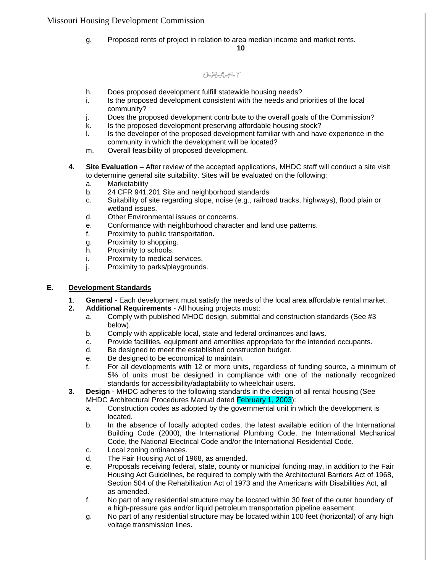g. Proposed rents of project in relation to area median income and market rents.

#### **10**

# D-R-A-F-T

- h. Does proposed development fulfill statewide housing needs?
- i. Is the proposed development consistent with the needs and priorities of the local community?
- j. Does the proposed development contribute to the overall goals of the Commission?
- k. Is the proposed development preserving affordable housing stock?
- l. Is the developer of the proposed development familiar with and have experience in the community in which the development will be located?
- m. Overall feasibility of proposed development.
- **4. Site Evaluation** After review of the accepted applications, MHDC staff will conduct a site visit to determine general site suitability. Sites will be evaluated on the following:
	- a. Marketability
	- b. 24 CFR 941.201 Site and neighborhood standards
	- c. Suitability of site regarding slope, noise (e.g., railroad tracks, highways), flood plain or wetland issues.
	- d. Other Environmental issues or concerns.
	- e. Conformance with neighborhood character and land use patterns.
	- f. Proximity to public transportation.
	- g. Proximity to shopping.
	- h. Proximity to schools.
	- i. Proximity to medical services.
	- j. Proximity to parks/playgrounds.

### **E**. **Development Standards**

- **1**. **General** Each development must satisfy the needs of the local area affordable rental market.
- **2. Additional Requirements** All housing projects must:
	- a. Comply with published MHDC design, submittal and construction standards (See #3 below).
		- b. Comply with applicable local, state and federal ordinances and laws.
		- c. Provide facilities, equipment and amenities appropriate for the intended occupants.
		- d. Be designed to meet the established construction budget.
		- e. Be designed to be economical to maintain.
		- f. For all developments with 12 or more units, regardless of funding source, a minimum of 5% of units must be designed in compliance with one of the nationally recognized standards for accessibility/adaptability to wheelchair users.
- **3**. **Design** MHDC adheres to the following standards in the design of all rental housing (See MHDC Architectural Procedures Manual dated February 1, 2003):
	- a. Construction codes as adopted by the governmental unit in which the development is located.
	- b. In the absence of locally adopted codes, the latest available edition of the International Building Code (2000), the International Plumbing Code, the International Mechanical Code, the National Electrical Code and/or the International Residential Code.
	- c. Local zoning ordinances.
	- d. The Fair Housing Act of 1968, as amended.
	- e. Proposals receiving federal, state, county or municipal funding may, in addition to the Fair Housing Act Guidelines, be required to comply with the Architectural Barriers Act of 1968, Section 504 of the Rehabilitation Act of 1973 and the Americans with Disabilities Act, all as amended.
	- f. No part of any residential structure may be located within 30 feet of the outer boundary of a high-pressure gas and/or liquid petroleum transportation pipeline easement.
	- g. No part of any residential structure may be located within 100 feet (horizontal) of any high voltage transmission lines.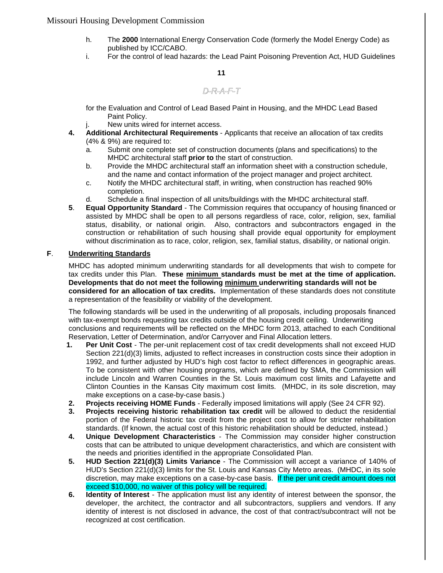- h. The **2000** International Energy Conservation Code (formerly the Model Energy Code) as published by ICC/CABO.
- i. For the control of lead hazards: the Lead Paint Poisoning Prevention Act, HUD Guidelines

#### **11**

### D-R-A-F-T

for the Evaluation and Control of Lead Based Paint in Housing, and the MHDC Lead Based Paint Policy.

- j. New units wired for internet access.
- **4. Additional Architectural Requirements** Applicants that receive an allocation of tax credits (4% & 9%) are required to:
	- a. Submit one complete set of construction documents (plans and specifications) to the MHDC architectural staff **prior to** the start of construction.
	- b. Provide the MHDC architectural staff an information sheet with a construction schedule, and the name and contact information of the project manager and project architect.
	- c. Notify the MHDC architectural staff, in writing, when construction has reached 90% completion.
	- d. Schedule a final inspection of all units/buildings with the MHDC architectural staff.
- **5**. **Equal Opportunity Standard** The Commission requires that occupancy of housing financed or assisted by MHDC shall be open to all persons regardless of race, color, religion, sex, familial status, disability, or national origin. Also, contractors and subcontractors engaged in the construction or rehabilitation of such housing shall provide equal opportunity for employment without discrimination as to race, color, religion, sex, familial status, disability, or national origin.

#### **F**. **Underwriting Standards**

MHDC has adopted minimum underwriting standards for all developments that wish to compete for tax credits under this Plan. **These minimum standards must be met at the time of application. Developments that do not meet the following minimum underwriting standards will not be considered for an allocation of tax credits.** Implementation of these standards does not constitute a representation of the feasibility or viability of the development.

The following standards will be used in the underwriting of all proposals, including proposals financed with tax-exempt bonds requesting tax credits outside of the housing credit ceiling. Underwriting conclusions and requirements will be reflected on the MHDC form 2013, attached to each Conditional Reservation, Letter of Determination, and/or Carryover and Final Allocation letters.

- **1. Per Unit Cost** The per-unit replacement cost of tax credit developments shall not exceed HUD Section 221(d)(3) limits, adjusted to reflect increases in construction costs since their adoption in 1992, and further adjusted by HUD's high cost factor to reflect differences in geographic areas. To be consistent with other housing programs, which are defined by SMA, the Commission will include Lincoln and Warren Counties in the St. Louis maximum cost limits and Lafayette and Clinton Counties in the Kansas City maximum cost limits. (MHDC, in its sole discretion, may make exceptions on a case-by-case basis.)
- **2. Projects receiving HOME Funds** Federally imposed limitations will apply (See 24 CFR 92).
- **3. Projects receiving historic rehabilitation tax credit** will be allowed to deduct the residential portion of the Federal historic tax credit from the project cost to allow for stricter rehabilitation standards. (If known, the actual cost of this historic rehabilitation should be deducted, instead.)
- **4. Unique Development Characteristics** The Commission may consider higher construction costs that can be attributed to unique development characteristics, and which are consistent with the needs and priorities identified in the appropriate Consolidated Plan.
- **5. HUD Section 221(d)(3) Limits Variance** The Commission will accept a variance of 140% of HUD's Section 221(d)(3) limits for the St. Louis and Kansas City Metro areas. (MHDC, in its sole discretion, may make exceptions on a case-by-case basis. If the per unit credit amount does not exceed \$10,000, no waiver of this policy will be required.
- **6. Identity of Interest** The application must list any identity of interest between the sponsor, the developer, the architect, the contractor and all subcontractors, suppliers and vendors. If any identity of interest is not disclosed in advance, the cost of that contract/subcontract will not be recognized at cost certification.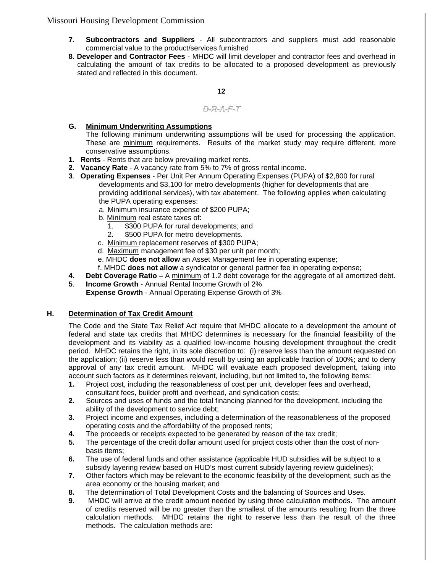- **7**. **Subcontractors and Suppliers** All subcontractors and suppliers must add reasonable commercial value to the product/services furnished
- **8. Developer and Contractor Fees** MHDC will limit developer and contractor fees and overhead in calculating the amount of tax credits to be allocated to a proposed development as previously stated and reflected in this document.

**12**

### D-R-A-F-T

### **G. Minimum Underwriting Assumptions**

The following minimum underwriting assumptions will be used for processing the application. These are minimum requirements. Results of the market study may require different, more conservative assumptions.

- **1. Rents** Rents that are below prevailing market rents.
- **2. Vacancy Rate** A vacancy rate from 5% to 7% of gross rental income.
- **3**. **Operating Expenses** Per Unit Per Annum Operating Expenses (PUPA) of \$2,800 for rural developments and \$3,100 for metro developments (higher for developments that are providing additional services), with tax abatement. The following applies when calculating the PUPA operating expenses:
	- a. Minimum insurance expense of \$200 PUPA;
	- b. Minimum real estate taxes of:
		- 1. \$300 PUPA for rural developments; and
		- 2. \$500 PUPA for metro developments.
	- c. Minimum replacement reserves of \$300 PUPA;
	- d. Maximum management fee of \$30 per unit per month;
	- e. MHDC **does not allow** an Asset Management fee in operating expense;
	- f. MHDC **does not allow** a syndicator or general partner fee in operating expense;
- **4. Debt Coverage Ratio** A minimum of 1.2 debt coverage for the aggregate of all amortized debt.
- **5**. **Income Growth** Annual Rental Income Growth of 2%
	- **Expense Growth** Annual Operating Expense Growth of 3%

### **H. Determination of Tax Credit Amount**

The Code and the State Tax Relief Act require that MHDC allocate to a development the amount of federal and state tax credits that MHDC determines is necessary for the financial feasibility of the development and its viability as a qualified low-income housing development throughout the credit period. MHDC retains the right, in its sole discretion to: (i) reserve less than the amount requested on the application; (ii) reserve less than would result by using an applicable fraction of 100%; and to deny approval of any tax credit amount. MHDC will evaluate each proposed development, taking into account such factors as it determines relevant, including, but not limited to, the following items:

- **1.** Project cost, including the reasonableness of cost per unit, developer fees and overhead, consultant fees, builder profit and overhead, and syndication costs;
- **2.** Sources and uses of funds and the total financing planned for the development, including the ability of the development to service debt;
- **3.** Project income and expenses, including a determination of the reasonableness of the proposed operating costs and the affordability of the proposed rents;
- **4.** The proceeds or receipts expected to be generated by reason of the tax credit;
- **5.** The percentage of the credit dollar amount used for project costs other than the cost of nonbasis items;
- **6.** The use of federal funds and other assistance (applicable HUD subsidies will be subject to a subsidy layering review based on HUD's most current subsidy layering review guidelines);
- **7.** Other factors which may be relevant to the economic feasibility of the development, such as the area economy or the housing market; and
- **8.** The determination of Total Development Costs and the balancing of Sources and Uses.
- **9.** MHDC will arrive at the credit amount needed by using three calculation methods. The amount of credits reserved will be no greater than the smallest of the amounts resulting from the three calculation methods. MHDC retains the right to reserve less than the result of the three methods. The calculation methods are: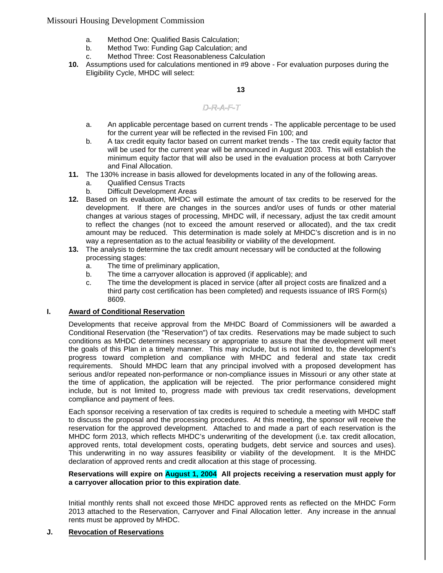- a. Method One: Qualified Basis Calculation;
- b. Method Two: Funding Gap Calculation; and
- c. Method Three: Cost Reasonableness Calculation
- **10.** Assumptions used for calculations mentioned in #9 above For evaluation purposes during the Eligibility Cycle, MHDC will select:

#### **13**

### D-R-A-F-T

- a. An applicable percentage based on current trends The applicable percentage to be used for the current year will be reflected in the revised Fin 100; and
- b. A tax credit equity factor based on current market trends The tax credit equity factor that will be used for the current year will be announced in August 2003. This will establish the minimum equity factor that will also be used in the evaluation process at both Carryover and Final Allocation.
- **11.** The 130% increase in basis allowed for developments located in any of the following areas.
	- a. Qualified Census Tracts
	- b. Difficult Development Areas
- **12.** Based on its evaluation, MHDC will estimate the amount of tax credits to be reserved for the development. If there are changes in the sources and/or uses of funds or other material changes at various stages of processing, MHDC will, if necessary, adjust the tax credit amount to reflect the changes (not to exceed the amount reserved or allocated), and the tax credit amount may be reduced. This determination is made solely at MHDC's discretion and is in no way a representation as to the actual feasibility or viability of the development.
- **13.** The analysis to determine the tax credit amount necessary will be conducted at the following processing stages:
	- a. The time of preliminary application,
	- b. The time a carryover allocation is approved (if applicable); and
	- c. The time the development is placed in service (after all project costs are finalized and a third party cost certification has been completed) and requests issuance of IRS Form(s) 8609.

#### **I. Award of Conditional Reservation**

Developments that receive approval from the MHDC Board of Commissioners will be awarded a Conditional Reservation (the "Reservation") of tax credits. Reservations may be made subject to such conditions as MHDC determines necessary or appropriate to assure that the development will meet the goals of this Plan in a timely manner. This may include, but is not limited to, the development's progress toward completion and compliance with MHDC and federal and state tax credit requirements. Should MHDC learn that any principal involved with a proposed development has serious and/or repeated non-performance or non-compliance issues in Missouri or any other state at the time of application, the application will be rejected. The prior performance considered might include, but is not limited to, progress made with previous tax credit reservations, development compliance and payment of fees.

Each sponsor receiving a reservation of tax credits is required to schedule a meeting with MHDC staff to discuss the proposal and the processing procedures. At this meeting, the sponsor will receive the reservation for the approved development. Attached to and made a part of each reservation is the MHDC form 2013, which reflects MHDC's underwriting of the development (i.e. tax credit allocation, approved rents, total development costs, operating budgets, debt service and sources and uses). This underwriting in no way assures feasibility or viability of the development. It is the MHDC declaration of approved rents and credit allocation at this stage of processing.

#### **Reservations will expire on August 1, 2004 All projects receiving a reservation must apply for a carryover allocation prior to this expiration date**.

Initial monthly rents shall not exceed those MHDC approved rents as reflected on the MHDC Form 2013 attached to the Reservation, Carryover and Final Allocation letter. Any increase in the annual rents must be approved by MHDC.

### **J. Revocation of Reservations**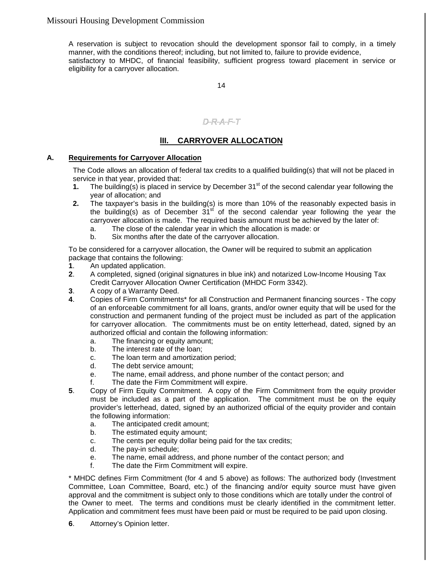A reservation is subject to revocation should the development sponsor fail to comply, in a timely manner, with the conditions thereof; including, but not limited to, failure to provide evidence, satisfactory to MHDC, of financial feasibility, sufficient progress toward placement in service or eligibility for a carryover allocation.

14

# D-R-A-F-T

### **lII. CARRYOVER ALLOCATION**

### **A. Requirements for Carryover Allocation**

The Code allows an allocation of federal tax credits to a qualified building(s) that will not be placed in service in that year, provided that:

- **1.** The building(s) is placed in service by December  $31<sup>st</sup>$  of the second calendar year following the year of allocation; and
- **2.** The taxpayer's basis in the building(s) is more than 10% of the reasonably expected basis in the building(s) as of December  $31<sup>st</sup>$  of the second calendar year following the year the carryover allocation is made. The required basis amount must be achieved by the later of:
	- a. The close of the calendar year in which the allocation is made: or
	- b. Six months after the date of the carryover allocation.

To be considered for a carryover allocation, the Owner will be required to submit an application package that contains the following:

- **1**. An updated application.
- **2**. A completed, signed (original signatures in blue ink) and notarized Low-Income Housing Tax Credit Carryover Allocation Owner Certification (MHDC Form 3342).
- **3**. A copy of a Warranty Deed.
- **4**. Copies of Firm Commitments\* for all Construction and Permanent financing sources The copy of an enforceable commitment for all loans, grants, and/or owner equity that will be used for the construction and permanent funding of the project must be included as part of the application for carryover allocation. The commitments must be on entity letterhead, dated, signed by an authorized official and contain the following information:
	- a. The financing or equity amount;
	- b. The interest rate of the loan;
	- c. The loan term and amortization period;
	- d. The debt service amount;
	- e. The name, email address, and phone number of the contact person; and
	- f. The date the Firm Commitment will expire.
- **5**. Copy of Firm Equity Commitment. A copy of the Firm Commitment from the equity provider must be included as a part of the application. The commitment must be on the equity provider's letterhead, dated, signed by an authorized official of the equity provider and contain the following information:
	- a. The anticipated credit amount;
	- b. The estimated equity amount;
	- c. The cents per equity dollar being paid for the tax credits;
	- d. The pay-in schedule;
	- e. The name, email address, and phone number of the contact person; and
	- f. The date the Firm Commitment will expire.

\* MHDC defines Firm Commitment (for 4 and 5 above) as follows: The authorized body (Investment Committee, Loan Committee, Board, etc.) of the financing and/or equity source must have given approval and the commitment is subject only to those conditions which are totally under the control of the Owner to meet. The terms and conditions must be clearly identified in the commitment letter. Application and commitment fees must have been paid or must be required to be paid upon closing.

**6**. Attorney's Opinion letter.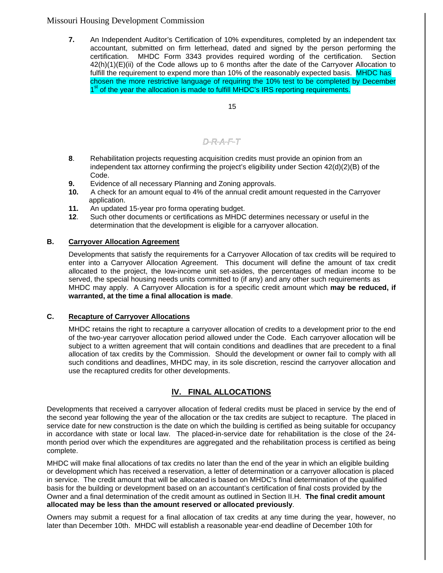**7.** An Independent Auditor's Certification of 10% expenditures*,* completed by an independent tax accountant, submitted on firm letterhead, dated and signed by the person performing the certification. MHDC Form 3343 provides required wording of the certification. Section 42(h)(1)(E)(ii) of the Code allows up to 6 months after the date of the Carryover Allocation to fulfill the requirement to expend more than 10% of the reasonably expected basis. MHDC has chosen the more restrictive language of requiring the 10% test to be completed by December 1<sup>st</sup> of the year the allocation is made to fulfill MHDC's IRS reporting requirements.

15

# D-R-A-F-T

- **8**. Rehabilitation projects requesting acquisition credits must provide an opinion from an independent tax attorney confirming the project's eligibility under Section 42(d)(2)(B) of the Code.
- **9.** Evidence of all necessary Planning and Zoning approvals.
- **10.** A check for an amount equal to 4% of the annual credit amount requested in the Carryover application.
- **11.** An updated 15-year pro forma operating budget.
- **12**. Such other documents or certifications as MHDC determines necessary or useful in the determination that the development is eligible for a carryover allocation.

### **B. Carryover Allocation Agreement**

Developments that satisfy the requirements for a Carryover Allocation of tax credits will be required to enter into a Carryover Allocation Agreement. This document will define the amount of tax credit allocated to the project, the low-income unit set-asides, the percentages of median income to be served, the special housing needs units committed to (if any) and any other such requirements as MHDC may apply. A Carryover Allocation is for a specific credit amount which **may be reduced, if warranted, at the time a final allocation is made**.

### **C. Recapture of Carryover Allocations**

MHDC retains the right to recapture a carryover allocation of credits to a development prior to the end of the two-year carryover allocation period allowed under the Code. Each carryover allocation will be subject to a written agreement that will contain conditions and deadlines that are precedent to a final allocation of tax credits by the Commission. Should the development or owner fail to comply with all such conditions and deadlines, MHDC may, in its sole discretion, rescind the carryover allocation and use the recaptured credits for other developments.

### **lV. FINAL ALLOCATIONS**

Developments that received a carryover allocation of federal credits must be placed in service by the end of the second year following the year of the allocation or the tax credits are subject to recapture. The placed in service date for new construction is the date on which the building is certified as being suitable for occupancy in accordance with state or local law. The placed-in-service date for rehabilitation is the close of the 24 month period over which the expenditures are aggregated and the rehabilitation process is certified as being complete.

MHDC will make final allocations of tax credits no later than the end of the year in which an eligible building or development which has received a reservation, a letter of determination or a carryover allocation is placed in service. The credit amount that will be allocated is based on MHDC's final determination of the qualified basis for the building or development based on an accountant's certification of final costs provided by the Owner and a final determination of the credit amount as outlined in Section II.H. **The final credit amount allocated may be less than the amount reserved or allocated previously**.

Owners may submit a request for a final allocation of tax credits at any time during the year, however, no later than December 10th. MHDC will establish a reasonable year-end deadline of December 10th for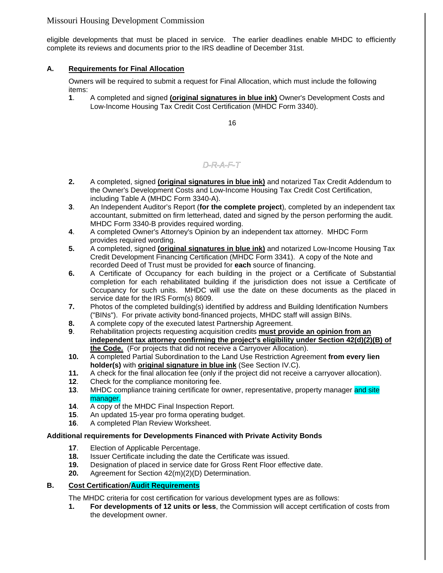eligible developments that must be placed in service. The earlier deadlines enable MHDC to efficiently complete its reviews and documents prior to the IRS deadline of December 31st.

### **A. Requirements for Final Allocation**

Owners will be required to submit a request for Final Allocation, which must include the following items:

**1**. A completed and signed **(original signatures in blue ink)** Owner's Development Costs and Low-Income Housing Tax Credit Cost Certification (MHDC Form 3340).

16

# D-R-A-F-T

- **2.** A completed, signed **(original signatures in blue ink)** and notarized Tax Credit Addendum to the Owner's Development Costs and Low-Income Housing Tax Credit Cost Certification, including Table A (MHDC Form 3340-A).
- **3**. An Independent Auditor's Report (**for the complete project**)*,* completed by an independent tax accountant, submitted on firm letterhead, dated and signed by the person performing the audit. MHDC Form 3340-B provides required wording.
- **4**. A completed Owner's Attorney's Opinion by an independent tax attorney. MHDC Form provides required wording.
- **5.** A completed, signed **(original signatures in blue ink)** and notarized Low-Income Housing Tax Credit Development Financing Certification (MHDC Form 3341). A copy of the Note and recorded Deed of Trust must be provided for **each** source of financing.
- **6.** A Certificate of Occupancy for each building in the project or a Certificate of Substantial completion for each rehabilitated building if the jurisdiction does not issue a Certificate of Occupancy for such units. MHDC will use the date on these documents as the placed in service date for the IRS Form(s) 8609.
- **7.** Photos of the completed building(s) identified by address and Building Identification Numbers ("BINs"). For private activity bond-financed projects, MHDC staff will assign BINs.
- **8.** A complete copy of the executed latest Partnership Agreement.
- **9**. Rehabilitation projects requesting acquisition credits **must provide an opinion from an independent tax attorney confirming the project's eligibility under Section 42(d)(2)(B) of the Code.** (For projects that did not receive a Carryover Allocation).
- **10.** A completed Partial Subordination to the Land Use Restriction Agreement **from every lien holder(s)** with **original signature in blue ink** (See Section IV.C).
- **11.** A check for the final allocation fee (only if the project did not receive a carryover allocation).
- **12**. Check for the compliance monitoring fee.
- **13.** MHDC compliance training certificate for owner, representative, property manager and site manager.
- **14**. A copy of the MHDC Final Inspection Report.
- **15**. An updated 15-year pro forma operating budget.
- **16**. A completed Plan Review Worksheet.

### **Additional requirements for Developments Financed with Private Activity Bonds**

- **17**. Election of Applicable Percentage.
- **18.** Issuer Certificate including the date the Certificate was issued.
- **19.** Designation of placed in service date for Gross Rent Floor effective date.
- **20.** Agreement for Section 42(m)(2)(D) Determination.

### **B. Cost Certification/Audit Requirements**

The MHDC criteria for cost certification for various development types are as follows:

**1. For developments of 12 units or less**, the Commission will accept certification of costs from the development owner.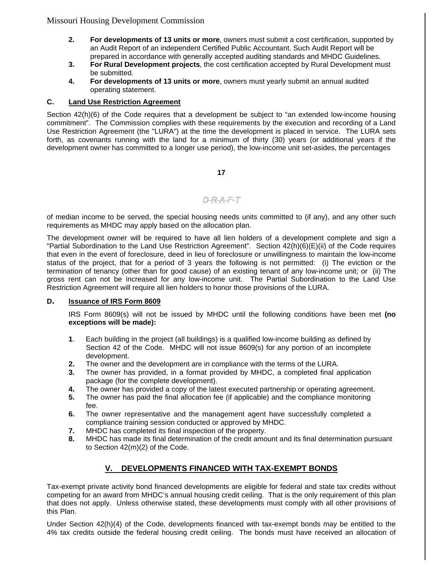- **2. For developments of 13 units or more**, owners must submit a cost certification, supported by an Audit Report of an independent Certified Public Accountant. Such Audit Report will be prepared in accordance with generally accepted auditing standards and MHDC Guidelines.
- **3. For Rural Development projects**, the cost certification accepted by Rural Development must be submitted.
- **4. For developments of 13 units or more**, owners must yearly submit an annual audited operating statement.

### **C. Land Use Restriction Agreement**

Section  $42(h)(6)$  of the Code requires that a development be subject to "an extended low-income housing commitment". The Commission complies with these requirements by the execution and recording of a Land Use Restriction Agreement (the "LURA") at the time the development is placed in service. The LURA sets forth, as covenants running with the land for a minimum of thirty (30) years (or additional years if the development owner has committed to a longer use period), the low-income unit set-asides, the percentages

**17**

## $D-R-A-F-T$

of median income to be served, the special housing needs units committed to (if any), and any other such requirements as MHDC may apply based on the allocation plan.

The development owner will be required to have all lien holders of a development complete and sign a "Partial Subordination to the Land Use Restriction Agreement". Section 42(h)(6)(E)(ii) of the Code requires that even in the event of foreclosure, deed in lieu of foreclosure or unwillingness to maintain the low-income status of the project, that for a period of 3 years the following is not permitted: (i) The eviction or the termination of tenancy (other than for good cause) of an existing tenant of any low-income unit; or (ii) The gross rent can not be increased for any low-income unit. The Partial Subordination to the Land Use Restriction Agreement will require all lien holders to honor those provisions of the LURA.

### **D. Issuance of IRS Form 8609**

IRS Form 8609(s) will not be issued by MHDC until the following conditions have been met **(no exceptions will be made):**

- **1**. Each building in the project (all buildings) is a qualified low-income building as defined by Section 42 of the Code. MHDC will not issue 8609(s) for any portion of an incomplete development.
- **2.** The owner and the development are in compliance with the terms of the LURA.
- **3.** The owner has provided, in a format provided by MHDC, a completed final application package (for the complete development).
- **4.** The owner has provided a copy of the latest executed partnership or operating agreement.
- **5.** The owner has paid the final allocation fee (if applicable) and the compliance monitoring fee.
- **6.** The owner representative and the management agent have successfully completed a compliance training session conducted or approved by MHDC.
- **7.** MHDC has completed its final inspection of the property.
- **8.** MHDC has made its final determination of the credit amount and its final determination pursuant to Section 42(m)(2) of the Code.

### **V. DEVELOPMENTS FINANCED WITH TAX-EXEMPT BONDS**

Tax-exempt private activity bond financed developments are eligible for federal and state tax credits without competing for an award from MHDC's annual housing credit ceiling. That is the only requirement of this plan that does not apply. Unless otherwise stated, these developments must comply with all other provisions of this Plan.

Under Section 42(h)(4) of the Code, developments financed with tax-exempt bonds may be entitled to the 4% tax credits outside the federal housing credit ceiling. The bonds must have received an allocation of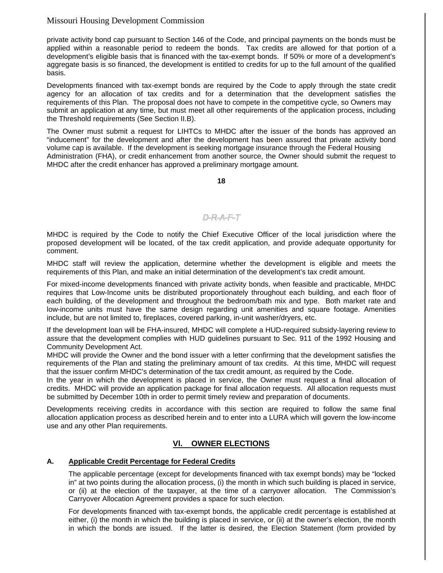private activity bond cap pursuant to Section 146 of the Code, and principal payments on the bonds must be applied within a reasonable period to redeem the bonds. Tax credits are allowed for that portion of a development's eligible basis that is financed with the tax-exempt bonds. If 50% or more of a development's aggregate basis is so financed, the development is entitled to credits for up to the full amount of the qualified basis.

Developments financed with tax-exempt bonds are required by the Code to apply through the state credit agency for an allocation of tax credits and for a determination that the development satisfies the requirements of this Plan. The proposal does not have to compete in the competitive cycle, so Owners may submit an application at any time, but must meet all other requirements of the application process, including the Threshold requirements (See Section II.B).

The Owner must submit a request for LIHTCs to MHDC after the issuer of the bonds has approved an "inducement" for the development and after the development has been assured that private activity bond volume cap is available. If the development is seeking mortgage insurance through the Federal Housing Administration (FHA), or credit enhancement from another source, the Owner should submit the request to MHDC after the credit enhancer has approved a preliminary mortgage amount.

**18**

### D-R-A-F-T

MHDC is required by the Code to notify the Chief Executive Officer of the local jurisdiction where the proposed development will be located, of the tax credit application, and provide adequate opportunity for comment.

MHDC staff will review the application, determine whether the development is eligible and meets the requirements of this Plan, and make an initial determination of the development's tax credit amount.

For mixed-income developments financed with private activity bonds, when feasible and practicable, MHDC requires that Low-Income units be distributed proportionately throughout each building, and each floor of each building, of the development and throughout the bedroom/bath mix and type. Both market rate and low-income units must have the same design regarding unit amenities and square footage. Amenities include, but are not limited to, fireplaces, covered parking, in-unit washer/dryers, etc.

If the development loan will be FHA-insured, MHDC will complete a HUD-required subsidy-layering review to assure that the development complies with HUD guidelines pursuant to Sec. 911 of the 1992 Housing and Community Development Act.

MHDC will provide the Owner and the bond issuer with a letter confirming that the development satisfies the requirements of the Plan and stating the preliminary amount of tax credits. At this time, MHDC will request that the issuer confirm MHDC's determination of the tax credit amount, as required by the Code.

In the year in which the development is placed in service, the Owner must request a final allocation of credits. MHDC will provide an application package for final allocation requests. All allocation requests must be submitted by December 10th in order to permit timely review and preparation of documents.

Developments receiving credits in accordance with this section are required to follow the same final allocation application process as described herein and to enter into a LURA which will govern the low-income use and any other Plan requirements.

### **Vl. OWNER ELECTIONS**

### **A. Applicable Credit Percentage for Federal Credits**

The applicable percentage (except for developments financed with tax exempt bonds) may be "locked in" at two points during the allocation process, (i) the month in which such building is placed in service, or (ii) at the election of the taxpayer, at the time of a carryover allocation. The Commission's Carryover Allocation Agreement provides a space for such election.

For developments financed with tax-exempt bonds, the applicable credit percentage is established at either, (i) the month in which the building is placed in service, or (ii) at the owner's election, the month in which the bonds are issued. If the latter is desired, the Election Statement (form provided by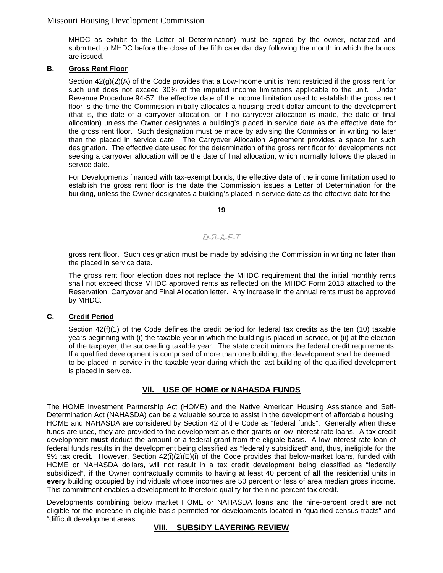MHDC as exhibit to the Letter of Determination) must be signed by the owner, notarized and submitted to MHDC before the close of the fifth calendar day following the month in which the bonds are issued.

### **B. Gross Rent Floor**

Section 42(g)(2)(A) of the Code provides that a Low-Income unit is "rent restricted if the gross rent for such unit does not exceed 30% of the imputed income limitations applicable to the unit. Under Revenue Procedure 94-57, the effective date of the income limitation used to establish the gross rent floor is the time the Commission initially allocates a housing credit dollar amount to the development (that is, the date of a carryover allocation, or if no carryover allocation is made, the date of final allocation) unless the Owner designates a building's placed in service date as the effective date for the gross rent floor. Such designation must be made by advising the Commission in writing no later than the placed in service date. The Carryover Allocation Agreement provides a space for such designation. The effective date used for the determination of the gross rent floor for developments not seeking a carryover allocation will be the date of final allocation, which normally follows the placed in service date.

For Developments financed with tax-exempt bonds, the effective date of the income limitation used to establish the gross rent floor is the date the Commission issues a Letter of Determination for the building, unless the Owner designates a building's placed in service date as the effective date for the

**19**

### D-R-A-F-T

gross rent floor. Such designation must be made by advising the Commission in writing no later than the placed in service date.

The gross rent floor election does not replace the MHDC requirement that the initial monthly rents shall not exceed those MHDC approved rents as reflected on the MHDC Form 2013 attached to the Reservation, Carryover and Final Allocation letter. Any increase in the annual rents must be approved by MHDC.

### **C. Credit Period**

Section 42(f)(1) of the Code defines the credit period for federal tax credits as the ten (10) taxable years beginning with (i) the taxable year in which the building is placed-in-service, or (ii) at the election of the taxpayer, the succeeding taxable year. The state credit mirrors the federal credit requirements. If a qualified development is comprised of more than one building, the development shall be deemed to be placed in service in the taxable year during which the last building of the qualified development is placed in service.

### **Vll. USE OF HOME or NAHASDA FUNDS**

The HOME Investment Partnership Act (HOME) and the Native American Housing Assistance and Self-Determination Act (NAHASDA) can be a valuable source to assist in the development of affordable housing. HOME and NAHASDA are considered by Section 42 of the Code as "federal funds". Generally when these funds are used, they are provided to the development as either grants or low interest rate loans. A tax credit development **must** deduct the amount of a federal grant from the eligible basis. A low-interest rate loan of federal funds results in the development being classified as "federally subsidized" and, thus, ineligible for the 9% tax credit. However, Section 42(i)(2)(E)(i) of the Code provides that below-market loans, funded with HOME or NAHASDA dollars, will not result in a tax credit development being classified as "federally subsidized", **if** the Owner contractually commits to having at least 40 percent of **all** the residential units in **every** building occupied by individuals whose incomes are 50 percent or less of area median gross income. This commitment enables a development to therefore qualify for the nine-percent tax credit.

Developments combining below market HOME or NAHASDA loans and the nine-percent credit are not eligible for the increase in eligible basis permitted for developments located in "qualified census tracts" and "difficult development areas".

### **VIII. SUBSIDY LAYERING REVIEW**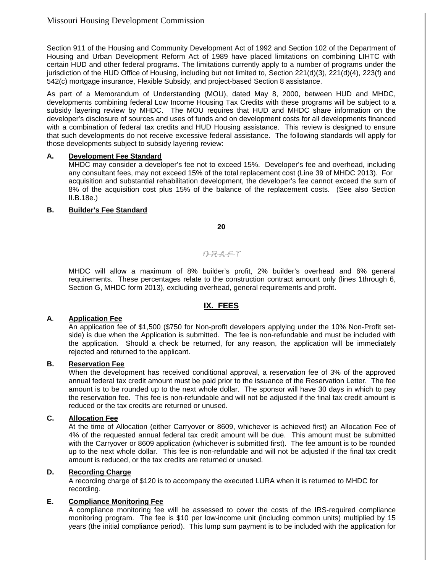Section 911 of the Housing and Community Development Act of 1992 and Section 102 of the Department of Housing and Urban Development Reform Act of 1989 have placed limitations on combining LIHTC with certain HUD and other federal programs. The limitations currently apply to a number of programs under the jurisdiction of the HUD Office of Housing, including but not limited to, Section 221(d)(3), 221(d)(4), 223(f) and 542(c) mortgage insurance, Flexible Subsidy, and project-based Section 8 assistance.

As part of a Memorandum of Understanding (MOU), dated May 8, 2000, between HUD and MHDC, developments combining federal Low Income Housing Tax Credits with these programs will be subject to a subsidy layering review by MHDC. The MOU requires that HUD and MHDC share information on the developer's disclosure of sources and uses of funds and on development costs for all developments financed with a combination of federal tax credits and HUD Housing assistance. This review is designed to ensure that such developments do not receive excessive federal assistance. The following standards will apply for those developments subject to subsidy layering review:

#### **A. Development Fee Standard**

MHDC may consider a developer's fee not to exceed 15%. Developer's fee and overhead, including any consultant fees, may not exceed 15% of the total replacement cost (Line 39 of MHDC 2013). For acquisition and substantial rehabilitation development, the developer's fee cannot exceed the sum of 8% of the acquisition cost plus 15% of the balance of the replacement costs. (See also Section II.B.18e.)

#### **B. Builder's Fee Standard**

**20**

### D-R-A-F-T

MHDC will allow a maximum of 8% builder's profit, 2% builder's overhead and 6% general requirements. These percentages relate to the construction contract amount only (lines 1through 6, Section G, MHDC form 2013), excluding overhead, general requirements and profit.

### **IX. FEES**

### **A**. **Application Fee**

An application fee of \$1,500 (\$750 for Non-profit developers applying under the 10% Non-Profit setside) is due when the Application is submitted. The fee is non-refundable and must be included with the application. Should a check be returned, for any reason, the application will be immediately rejected and returned to the applicant.

#### **B. Reservation Fee**

When the development has received conditional approval, a reservation fee of 3% of the approved annual federal tax credit amount must be paid prior to the issuance of the Reservation Letter. The fee amount is to be rounded up to the next whole dollar. The sponsor will have 30 days in which to pay the reservation fee. This fee is non-refundable and will not be adjusted if the final tax credit amount is reduced or the tax credits are returned or unused.

#### **C. Allocation Fee**

At the time of Allocation (either Carryover or 8609, whichever is achieved first) an Allocation Fee of 4% of the requested annual federal tax credit amount will be due. This amount must be submitted with the Carryover or 8609 application (whichever is submitted first). The fee amount is to be rounded up to the next whole dollar. This fee is non-refundable and will not be adjusted if the final tax credit amount is reduced, or the tax credits are returned or unused.

#### **D. Recording Charge**

A recording charge of \$120 is to accompany the executed LURA when it is returned to MHDC for recording.

### **E. Compliance Monitoring Fee**

A compliance monitoring fee will be assessed to cover the costs of the IRS-required compliance monitoring program. The fee is \$10 per low-income unit (including common units) multiplied by 15 years (the initial compliance period). This lump sum payment is to be included with the application for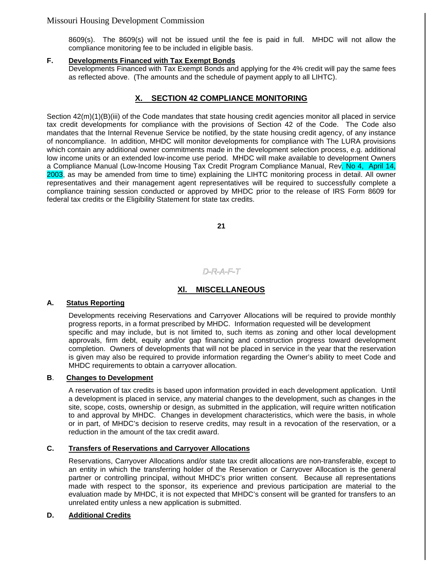8609(s). The 8609(s) will not be issued until the fee is paid in full. MHDC will not allow the compliance monitoring fee to be included in eligible basis.

### **F. Developments Financed with Tax Exempt Bonds**

Developments Financed with Tax Exempt Bonds and applying for the 4% credit will pay the same fees as reflected above. (The amounts and the schedule of payment apply to all LIHTC).

### **SECTION 42 COMPLIANCE MONITORING**

Section 42(m)(1)(B)(iii) of the Code mandates that state housing credit agencies monitor all placed in service tax credit developments for compliance with the provisions of Section 42 of the Code. The Code also mandates that the Internal Revenue Service be notified, by the state housing credit agency, of any instance of noncompliance. In addition, MHDC will monitor developments for compliance with The LURA provisions which contain any additional owner commitments made in the development selection process, e.g. additional low income units or an extended low-income use period. MHDC will make available to development Owners a Compliance Manual (Low-Income Housing Tax Credit Program Compliance Manual, Rev. No 4, April 14, 2003, as may be amended from time to time) explaining the LIHTC monitoring process in detail. All owner representatives and their management agent representatives will be required to successfully complete a compliance training session conducted or approved by MHDC prior to the release of IRS Form 8609 for federal tax credits or the Eligibility Statement for state tax credits.

**21**

# D-R-A-F-T

### **Xl. MISCELLANEOUS**

### **A. Status Reporting**

Developments receiving Reservations and Carryover Allocations will be required to provide monthly progress reports, in a format prescribed by MHDC. Information requested will be development specific and may include, but is not limited to, such items as zoning and other local development approvals, firm debt, equity and/or gap financing and construction progress toward development completion. Owners of developments that will not be placed in service in the year that the reservation is given may also be required to provide information regarding the Owner's ability to meet Code and MHDC requirements to obtain a carryover allocation.

#### **B**. **Changes to Development**

A reservation of tax credits is based upon information provided in each development application. Until a development is placed in service, any material changes to the development, such as changes in the site, scope, costs, ownership or design, as submitted in the application, will require written notification to and approval by MHDC. Changes in development characteristics, which were the basis, in whole or in part, of MHDC's decision to reserve credits, may result in a revocation of the reservation, or a reduction in the amount of the tax credit award.

#### **C. Transfers of Reservations and Carryover Allocations**

Reservations, Carryover Allocations and/or state tax credit allocations are non-transferable, except to an entity in which the transferring holder of the Reservation or Carryover Allocation is the general partner or controlling principal, without MHDC's prior written consent. Because all representations made with respect to the sponsor, its experience and previous participation are material to the evaluation made by MHDC, it is not expected that MHDC's consent will be granted for transfers to an unrelated entity unless a new application is submitted.

#### **D. Additional Credits**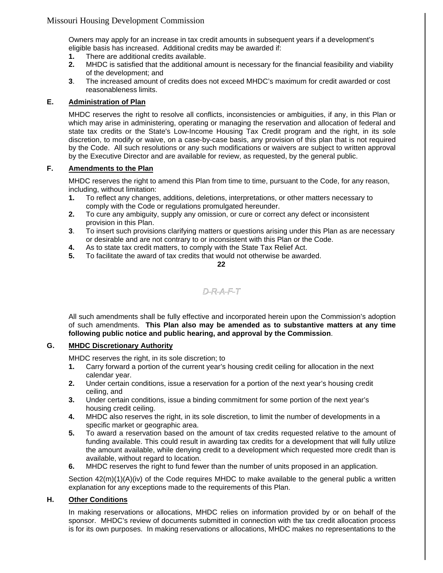Owners may apply for an increase in tax credit amounts in subsequent years if a development's eligible basis has increased. Additional credits may be awarded if:

- **1.** There are additional credits available.
- **2.** MHDC is satisfied that the additional amount is necessary for the financial feasibility and viability of the development; and
- **3**. The increased amount of credits does not exceed MHDC's maximum for credit awarded or cost reasonableness limits.

#### **E. Administration of Plan**

MHDC reserves the right to resolve all conflicts, inconsistencies or ambiguities, if any, in this Plan or which may arise in administering, operating or managing the reservation and allocation of federal and state tax credits or the State's Low-Income Housing Tax Credit program and the right, in its sole discretion, to modify or waive, on a case-by-case basis, any provision of this plan that is not required by the Code. All such resolutions or any such modifications or waivers are subject to written approval by the Executive Director and are available for review, as requested, by the general public.

### **F. Amendments to the Plan**

MHDC reserves the right to amend this Plan from time to time, pursuant to the Code, for any reason, including, without limitation:

- **1.** To reflect any changes, additions, deletions, interpretations, or other matters necessary to comply with the Code or regulations promulgated hereunder.
- **2.** To cure any ambiguity, supply any omission, or cure or correct any defect or inconsistent provision in this Plan.
- **3**. To insert such provisions clarifying matters or questions arising under this Plan as are necessary or desirable and are not contrary to or inconsistent with this Plan or the Code.
- **4.** As to state tax credit matters, to comply with the State Tax Relief Act.
- **5.** To facilitate the award of tax credits that would not otherwise be awarded.

**22**

# D-R-A-F-T

All such amendments shall be fully effective and incorporated herein upon the Commission's adoption of such amendments. **This Plan also may be amended as to substantive matters at any time following public notice and public hearing, and approval by the Commission**.

#### **G. MHDC Discretionary Authority**

MHDC reserves the right, in its sole discretion; to

- **1.** Carry forward a portion of the current year's housing credit ceiling for allocation in the next calendar year.
- **2.** Under certain conditions, issue a reservation for a portion of the next year's housing credit ceiling, and
- **3.** Under certain conditions, issue a binding commitment for some portion of the next year's housing credit ceiling.
- **4.** MHDC also reserves the right, in its sole discretion, to limit the number of developments in a specific market or geographic area.
- **5.** To award a reservation based on the amount of tax credits requested relative to the amount of funding available. This could result in awarding tax credits for a development that will fully utilize the amount available, while denying credit to a development which requested more credit than is available, without regard to location.
- **6.** MHDC reserves the right to fund fewer than the number of units proposed in an application.

Section  $42(m)(1)(A)(iv)$  of the Code requires MHDC to make available to the general public a written explanation for any exceptions made to the requirements of this Plan.

### **H. Other Conditions**

In making reservations or allocations, MHDC relies on information provided by or on behalf of the sponsor. MHDC's review of documents submitted in connection with the tax credit allocation process is for its own purposes. In making reservations or allocations, MHDC makes no representations to the